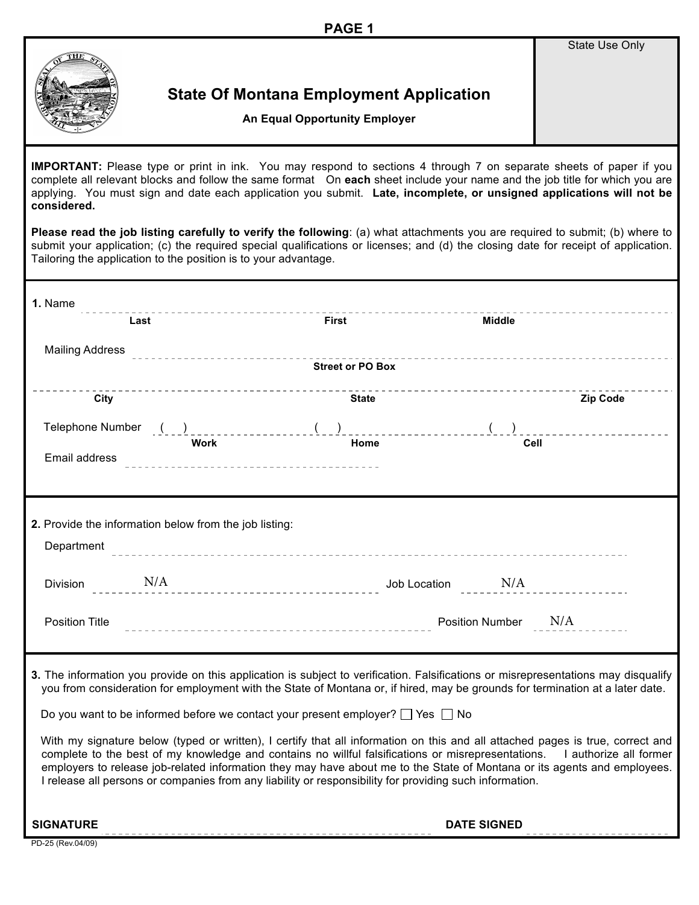State Use Only



## **State Of Montana Employment Application**

**An Equal Opportunity Employer**

**IMPORTANT:** Please type or print in ink. You may respond to sections 4 through 7 on separate sheets of paper if you complete all relevant blocks and follow the same format On **each** sheet include your name and the job title for which you are applying. You must sign and date each application you submit. **Late, incomplete, or unsigned applications will not be considered.** 

**Please read the job listing carefully to verify the following**: (a) what attachments you are required to submit; (b) where to submit your application; (c) the required special qualifications or licenses; and (d) the closing date for receipt of application. Tailoring the application to the position is to your advantage.

| 1. Name<br>-------------------------<br>Last                                                                                                                                                                                                                                                                                                                                                                                                                                                       | First                   | Middle                 |  |  |  |
|----------------------------------------------------------------------------------------------------------------------------------------------------------------------------------------------------------------------------------------------------------------------------------------------------------------------------------------------------------------------------------------------------------------------------------------------------------------------------------------------------|-------------------------|------------------------|--|--|--|
|                                                                                                                                                                                                                                                                                                                                                                                                                                                                                                    |                         |                        |  |  |  |
| Mailing Address Process of the contract of the contract of the contract of the contract of the contract of the                                                                                                                                                                                                                                                                                                                                                                                     | <b>Street or PO Box</b> |                        |  |  |  |
|                                                                                                                                                                                                                                                                                                                                                                                                                                                                                                    |                         |                        |  |  |  |
| City                                                                                                                                                                                                                                                                                                                                                                                                                                                                                               | State                   | <b>Zip Code</b>        |  |  |  |
|                                                                                                                                                                                                                                                                                                                                                                                                                                                                                                    |                         | Telephone Number $( )$ |  |  |  |
| Work<br>Email address                                                                                                                                                                                                                                                                                                                                                                                                                                                                              | Home                    | Cell                   |  |  |  |
|                                                                                                                                                                                                                                                                                                                                                                                                                                                                                                    |                         |                        |  |  |  |
|                                                                                                                                                                                                                                                                                                                                                                                                                                                                                                    |                         |                        |  |  |  |
| 2. Provide the information below from the job listing:                                                                                                                                                                                                                                                                                                                                                                                                                                             |                         |                        |  |  |  |
| Department                                                                                                                                                                                                                                                                                                                                                                                                                                                                                         |                         |                        |  |  |  |
|                                                                                                                                                                                                                                                                                                                                                                                                                                                                                                    |                         |                        |  |  |  |
| Division N/A                                                                                                                                                                                                                                                                                                                                                                                                                                                                                       |                         |                        |  |  |  |
|                                                                                                                                                                                                                                                                                                                                                                                                                                                                                                    |                         |                        |  |  |  |
| <b>Position Title</b>                                                                                                                                                                                                                                                                                                                                                                                                                                                                              |                         | Position Number N/A    |  |  |  |
|                                                                                                                                                                                                                                                                                                                                                                                                                                                                                                    |                         |                        |  |  |  |
| 3. The information you provide on this application is subject to verification. Falsifications or misrepresentations may disqualify<br>you from consideration for employment with the State of Montana or, if hired, may be grounds for termination at a later date.                                                                                                                                                                                                                                |                         |                        |  |  |  |
|                                                                                                                                                                                                                                                                                                                                                                                                                                                                                                    |                         |                        |  |  |  |
| Do you want to be informed before we contact your present employer? $\Box$ Yes $\Box$ No                                                                                                                                                                                                                                                                                                                                                                                                           |                         |                        |  |  |  |
| With my signature below (typed or written), I certify that all information on this and all attached pages is true, correct and<br>complete to the best of my knowledge and contains no willful falsifications or misrepresentations. I authorize all former<br>employers to release job-related information they may have about me to the State of Montana or its agents and employees.<br>I release all persons or companies from any liability or responsibility for providing such information. |                         |                        |  |  |  |
|                                                                                                                                                                                                                                                                                                                                                                                                                                                                                                    |                         |                        |  |  |  |

**SIGNATURE DATE SIGNED**

PD-25 (Rev.04/09)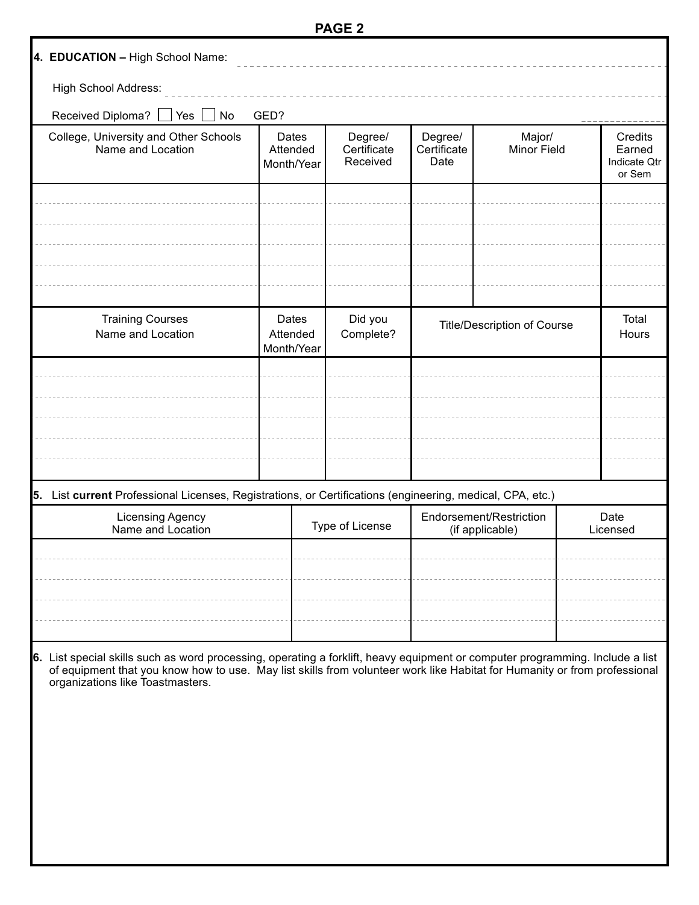|                                                                                                                                                                                                                                                                                                |                                 | PAGE Z                             |                                    |                                            |                |                                                    |  |
|------------------------------------------------------------------------------------------------------------------------------------------------------------------------------------------------------------------------------------------------------------------------------------------------|---------------------------------|------------------------------------|------------------------------------|--------------------------------------------|----------------|----------------------------------------------------|--|
| 4. EDUCATION - High School Name:                                                                                                                                                                                                                                                               |                                 |                                    |                                    |                                            |                |                                                    |  |
| High School Address:                                                                                                                                                                                                                                                                           |                                 |                                    |                                    |                                            |                |                                                    |  |
| Received Diploma?<br>No<br>Yes                                                                                                                                                                                                                                                                 | GED?                            |                                    |                                    |                                            |                |                                                    |  |
| College, University and Other Schools<br>Name and Location                                                                                                                                                                                                                                     | Dates<br>Attended<br>Month/Year | Degree/<br>Certificate<br>Received | Degree/<br>Certificate<br>Date     | Major/<br>Minor Field                      |                | Credits<br>Earned<br><b>Indicate Qtr</b><br>or Sem |  |
|                                                                                                                                                                                                                                                                                                |                                 |                                    |                                    |                                            |                |                                                    |  |
|                                                                                                                                                                                                                                                                                                |                                 |                                    |                                    |                                            |                |                                                    |  |
|                                                                                                                                                                                                                                                                                                |                                 |                                    |                                    |                                            |                |                                                    |  |
|                                                                                                                                                                                                                                                                                                |                                 |                                    |                                    |                                            |                |                                                    |  |
| <b>Training Courses</b><br>Name and Location                                                                                                                                                                                                                                                   | Dates<br>Attended<br>Month/Year | Did you<br>Complete?               | <b>Title/Description of Course</b> |                                            | Total<br>Hours |                                                    |  |
|                                                                                                                                                                                                                                                                                                |                                 |                                    |                                    |                                            |                |                                                    |  |
|                                                                                                                                                                                                                                                                                                |                                 |                                    |                                    |                                            |                |                                                    |  |
|                                                                                                                                                                                                                                                                                                |                                 |                                    |                                    |                                            |                |                                                    |  |
|                                                                                                                                                                                                                                                                                                |                                 |                                    |                                    |                                            |                |                                                    |  |
| 5. List current Professional Licenses, Registrations, or Certifications (engineering, medical, CPA, etc.)                                                                                                                                                                                      |                                 |                                    |                                    |                                            |                |                                                    |  |
| <b>Licensing Agency</b><br>Name and Location                                                                                                                                                                                                                                                   |                                 | Type of License                    |                                    | Endorsement/Restriction<br>(if applicable) |                | Date<br>Licensed                                   |  |
|                                                                                                                                                                                                                                                                                                |                                 |                                    |                                    |                                            |                |                                                    |  |
|                                                                                                                                                                                                                                                                                                |                                 |                                    |                                    |                                            |                |                                                    |  |
|                                                                                                                                                                                                                                                                                                |                                 |                                    |                                    |                                            |                |                                                    |  |
|                                                                                                                                                                                                                                                                                                |                                 |                                    |                                    |                                            |                |                                                    |  |
| 6. List special skills such as word processing, operating a forklift, heavy equipment or computer programming. Include a list<br>of equipment that you know how to use. May list skills from volunteer work like Habitat for Humanity or from professional<br>organizations like Toastmasters. |                                 |                                    |                                    |                                            |                |                                                    |  |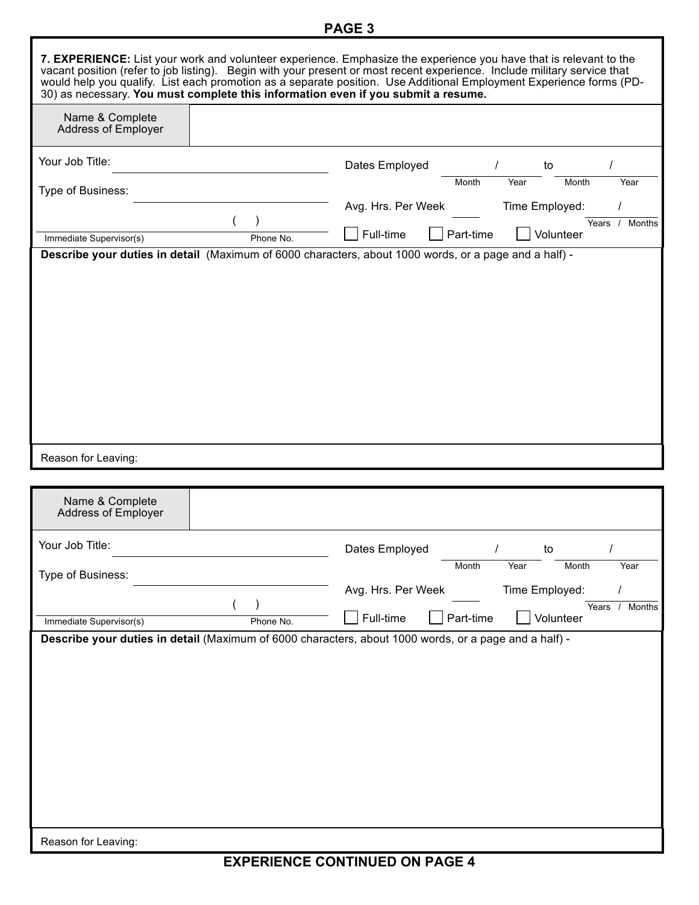## **PAGE 3**

|                                                                                                                                  |           | 7. EXPERIENCE: List your work and volunteer experience. Emphasize the experience you have that is relevant to the<br>vacant position (refer to job listing). Begin with your present or most recent experience. Include military service that<br>30) as necessary. You must complete this information even if you submit a resume. | would help you qualify. List each promotion as a separate position. Use Additional Employment Experience forms (PD- |
|----------------------------------------------------------------------------------------------------------------------------------|-----------|------------------------------------------------------------------------------------------------------------------------------------------------------------------------------------------------------------------------------------------------------------------------------------------------------------------------------------|---------------------------------------------------------------------------------------------------------------------|
| Name & Complete<br>Address of Employer                                                                                           |           |                                                                                                                                                                                                                                                                                                                                    |                                                                                                                     |
| Your Job Title:                                                                                                                  |           | Dates Employed<br>Month                                                                                                                                                                                                                                                                                                            | to<br>Year<br>Year<br>Month                                                                                         |
| Type of Business:                                                                                                                |           | Avg. Hrs. Per Week                                                                                                                                                                                                                                                                                                                 | Time Employed:                                                                                                      |
| Immediate Supervisor(s)<br>Describe your duties in detail (Maximum of 6000 characters, about 1000 words, or a page and a half) - | Phone No. | Full-time<br>Part-time                                                                                                                                                                                                                                                                                                             | Years / Months<br>Volunteer                                                                                         |
|                                                                                                                                  |           |                                                                                                                                                                                                                                                                                                                                    |                                                                                                                     |
| Reason for Leaving:                                                                                                              |           |                                                                                                                                                                                                                                                                                                                                    |                                                                                                                     |
| Name & Complete<br>Address of Employer                                                                                           |           |                                                                                                                                                                                                                                                                                                                                    |                                                                                                                     |
| Your Job Title:                                                                                                                  |           | Dates Employed                                                                                                                                                                                                                                                                                                                     | $\prime$<br>to                                                                                                      |
| Type of Business:                                                                                                                |           | Month                                                                                                                                                                                                                                                                                                                              |                                                                                                                     |
|                                                                                                                                  |           |                                                                                                                                                                                                                                                                                                                                    | Month<br>Year<br>Year                                                                                               |
|                                                                                                                                  |           | Avg. Hrs. Per Week                                                                                                                                                                                                                                                                                                                 | Time Employed:                                                                                                      |
| Immediate Supervisor(s)<br>Describe your duties in detail (Maximum of 6000 characters, about 1000 words, or a page and a half) - | Phone No. | Full-time<br>Part-time                                                                                                                                                                                                                                                                                                             | Months<br>Years /<br>Volunteer                                                                                      |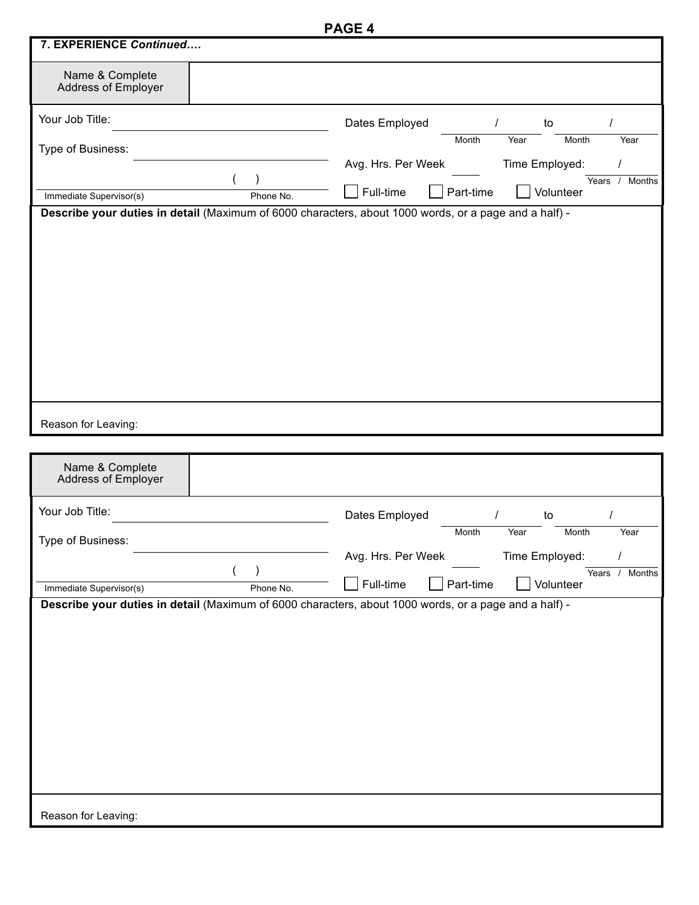|                                        |           | PAGE 4                                                                                                |
|----------------------------------------|-----------|-------------------------------------------------------------------------------------------------------|
| 7. EXPERIENCE Continued                |           |                                                                                                       |
| Name & Complete<br>Address of Employer |           |                                                                                                       |
| Your Job Title:                        |           | Dates Employed<br>$\prime$<br>to<br>Month<br>Year<br>Month<br>Year                                    |
| Type of Business:                      |           | Avg. Hrs. Per Week<br>Time Employed:                                                                  |
| Immediate Supervisor(s)                | Phone No. | Years /<br>Months<br>Full-time<br>Part-time<br>Volunteer                                              |
|                                        |           | Describe your duties in detail (Maximum of 6000 characters, about 1000 words, or a page and a half) - |
|                                        |           |                                                                                                       |
| Reason for Leaving:                    |           |                                                                                                       |
| Name & Complete<br>Address of Employer |           |                                                                                                       |
| Your Job Title:                        |           | Dates Employed<br>to                                                                                  |
| Type of Business:                      |           | Month<br>Year<br>Month<br>Year<br>Time Employed:<br>Avg. Hrs. Per Week                                |
|                                        |           | Years /<br>Months                                                                                     |
| Immediate Supervisor(s)                | Phone No. | Full-time<br>Part-time<br>Volunteer                                                                   |
| Reason for Leaving:                    |           | Describe your duties in detail (Maximum of 6000 characters, about 1000 words, or a page and a half) - |
|                                        |           |                                                                                                       |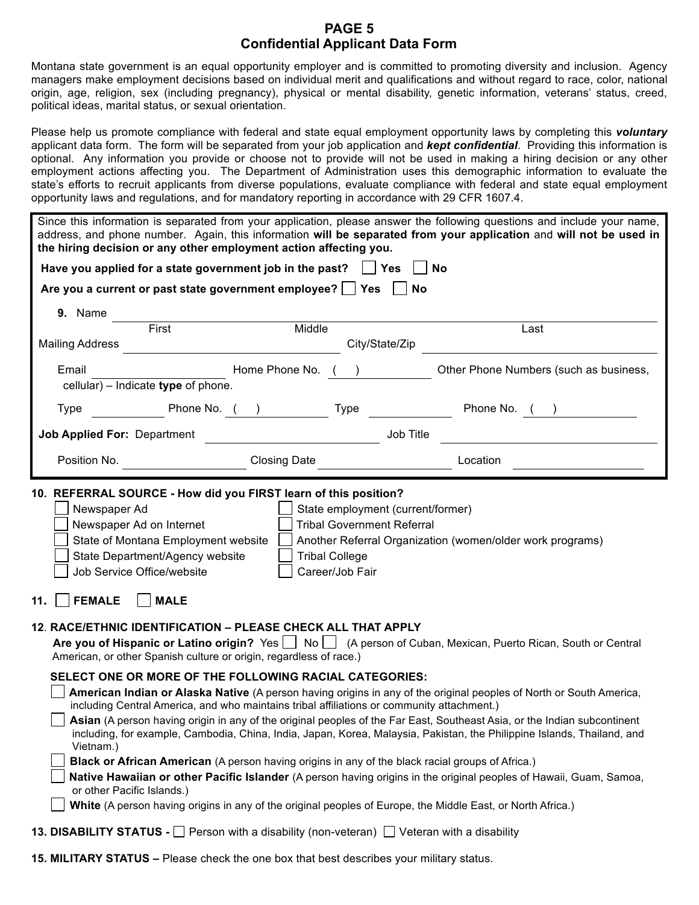## **PAGE 5 Confidential Applicant Data Form**

Montana state government is an equal opportunity employer and is committed to promoting diversity and inclusion. Agency managers make employment decisions based on individual merit and qualifications and without regard to race, color, national origin, age, religion, sex (including pregnancy), physical or mental disability, genetic information, veterans' status, creed, political ideas, marital status, or sexual orientation.

Please help us promote compliance with federal and state equal employment opportunity laws by completing this *voluntary* applicant data form. The form will be separated from your job application and *kept confidential*. Providing this information is optional. Any information you provide or choose not to provide will not be used in making a hiring decision or any other employment actions affecting you. The Department of Administration uses this demographic information to evaluate the state's efforts to recruit applicants from diverse populations, evaluate compliance with federal and state equal employment opportunity laws and regulations, and for mandatory reporting in accordance with 29 CFR 1607.4.

| the hiring decision or any other employment action affecting you.                                                                                                                                                                                                                                                                                                                                                  |                                                                                  |                                                                                                                    | Since this information is separated from your application, please answer the following questions and include your name,<br>address, and phone number. Again, this information will be separated from your application and will not be used in                                                                                                                                                                                                                                                    |  |  |  |
|--------------------------------------------------------------------------------------------------------------------------------------------------------------------------------------------------------------------------------------------------------------------------------------------------------------------------------------------------------------------------------------------------------------------|----------------------------------------------------------------------------------|--------------------------------------------------------------------------------------------------------------------|--------------------------------------------------------------------------------------------------------------------------------------------------------------------------------------------------------------------------------------------------------------------------------------------------------------------------------------------------------------------------------------------------------------------------------------------------------------------------------------------------|--|--|--|
|                                                                                                                                                                                                                                                                                                                                                                                                                    | <b>No</b><br>Have you applied for a state government job in the past? $\Box$ Yes |                                                                                                                    |                                                                                                                                                                                                                                                                                                                                                                                                                                                                                                  |  |  |  |
| Are you a current or past state government employee? $\Box$ Yes $\Box$ No                                                                                                                                                                                                                                                                                                                                          |                                                                                  |                                                                                                                    |                                                                                                                                                                                                                                                                                                                                                                                                                                                                                                  |  |  |  |
| 9. Name                                                                                                                                                                                                                                                                                                                                                                                                            |                                                                                  |                                                                                                                    |                                                                                                                                                                                                                                                                                                                                                                                                                                                                                                  |  |  |  |
| First<br><b>Mailing Address</b>                                                                                                                                                                                                                                                                                                                                                                                    | Middle                                                                           | City/State/Zip                                                                                                     | Last                                                                                                                                                                                                                                                                                                                                                                                                                                                                                             |  |  |  |
| Email<br>cellular) - Indicate type of phone.                                                                                                                                                                                                                                                                                                                                                                       |                                                                                  | Home Phone No. ( )                                                                                                 | Other Phone Numbers (such as business,                                                                                                                                                                                                                                                                                                                                                                                                                                                           |  |  |  |
| Type                                                                                                                                                                                                                                                                                                                                                                                                               |                                                                                  |                                                                                                                    | Phone No. ( ) Type Type Phone No. ( )                                                                                                                                                                                                                                                                                                                                                                                                                                                            |  |  |  |
| <b>Job Applied For: Department</b>                                                                                                                                                                                                                                                                                                                                                                                 |                                                                                  | Job Title                                                                                                          |                                                                                                                                                                                                                                                                                                                                                                                                                                                                                                  |  |  |  |
| Position No.                                                                                                                                                                                                                                                                                                                                                                                                       |                                                                                  | Closing Date <b>Closing</b>                                                                                        | Location                                                                                                                                                                                                                                                                                                                                                                                                                                                                                         |  |  |  |
| 10. REFERRAL SOURCE - How did you FIRST learn of this position?<br>Newspaper Ad<br>Newspaper Ad on Internet<br>State of Montana Employment website<br>State Department/Agency website<br>Job Service Office/website<br><b>FEMALE</b><br><b>MALE</b><br>11.                                                                                                                                                         |                                                                                  | State employment (current/former)<br><b>Tribal Government Referral</b><br><b>Tribal College</b><br>Career/Job Fair | Another Referral Organization (women/older work programs)                                                                                                                                                                                                                                                                                                                                                                                                                                        |  |  |  |
| 12. RACE/ETHNIC IDENTIFICATION - PLEASE CHECK ALL THAT APPLY<br>American, or other Spanish culture or origin, regardless of race.)                                                                                                                                                                                                                                                                                 |                                                                                  |                                                                                                                    | Are you of Hispanic or Latino origin? Yes   No   (A person of Cuban, Mexican, Puerto Rican, South or Central                                                                                                                                                                                                                                                                                                                                                                                     |  |  |  |
| SELECT ONE OR MORE OF THE FOLLOWING RACIAL CATEGORIES:<br>including Central America, and who maintains tribal affiliations or community attachment.)<br>Vietnam.)<br>Black or African American (A person having origins in any of the black racial groups of Africa.)<br>or other Pacific Islands.)<br>White (A person having origins in any of the original peoples of Europe, the Middle East, or North Africa.) |                                                                                  |                                                                                                                    | American Indian or Alaska Native (A person having origins in any of the original peoples of North or South America,<br>Asian (A person having origin in any of the original peoples of the Far East, Southeast Asia, or the Indian subcontinent<br>including, for example, Cambodia, China, India, Japan, Korea, Malaysia, Pakistan, the Philippine Islands, Thailand, and<br>Native Hawaiian or other Pacific Islander (A person having origins in the original peoples of Hawaii, Guam, Samoa, |  |  |  |
|                                                                                                                                                                                                                                                                                                                                                                                                                    |                                                                                  |                                                                                                                    |                                                                                                                                                                                                                                                                                                                                                                                                                                                                                                  |  |  |  |

- **13. DISABILITY STATUS -** Person with a disability (non-veteran) Veteran with a disability
- **15. MILITARY STATUS –** Please check the one box that best describes your military status.